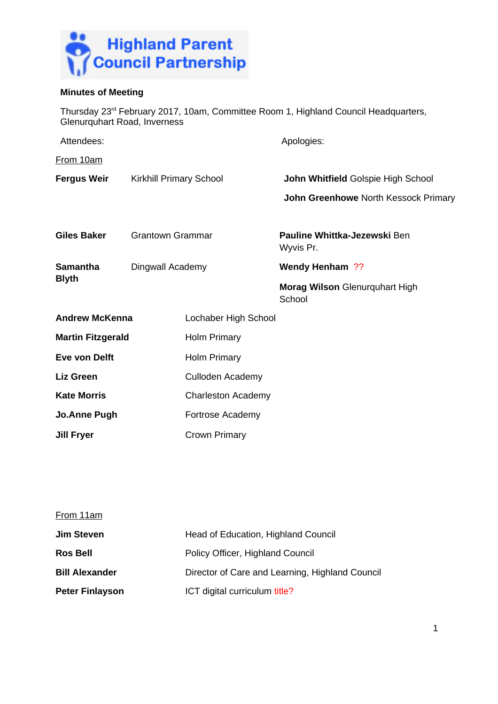

# **Minutes of Meeting**

Thursday 23rd February 2017, 10am, Committee Room 1, Highland Council Headquarters, Glenurquhart Road, Inverness

| Attendees:                           |                         |                           | Apologies:                                |  |
|--------------------------------------|-------------------------|---------------------------|-------------------------------------------|--|
| From 10am                            |                         |                           |                                           |  |
| <b>Fergus Weir</b>                   | Kirkhill Primary School |                           | John Whitfield Golspie High School        |  |
|                                      |                         |                           | John Greenhowe North Kessock Primary      |  |
| <b>Giles Baker</b>                   | <b>Grantown Grammar</b> |                           | Pauline Whittka-Jezewski Ben<br>Wyvis Pr. |  |
| <b>Samantha</b><br><b>Blyth</b>      | Dingwall Academy        |                           | Wendy Henham ??                           |  |
|                                      |                         |                           | Morag Wilson Glenurquhart High<br>School  |  |
| <b>Andrew McKenna</b>                |                         | Lochaber High School      |                                           |  |
| <b>Martin Fitzgerald</b>             |                         | <b>Holm Primary</b>       |                                           |  |
| Eve von Delft<br><b>Holm Primary</b> |                         |                           |                                           |  |
| <b>Liz Green</b>                     |                         | Culloden Academy          |                                           |  |
| <b>Kate Morris</b>                   |                         | <b>Charleston Academy</b> |                                           |  |
| <b>Jo.Anne Pugh</b>                  |                         | Fortrose Academy          |                                           |  |
| Jill Fryer                           |                         | Crown Primary             |                                           |  |

| From 11am              |                                                 |
|------------------------|-------------------------------------------------|
| <b>Jim Steven</b>      | Head of Education, Highland Council             |
| <b>Ros Bell</b>        | Policy Officer, Highland Council                |
| <b>Bill Alexander</b>  | Director of Care and Learning, Highland Council |
| <b>Peter Finlayson</b> | ICT digital curriculum title?                   |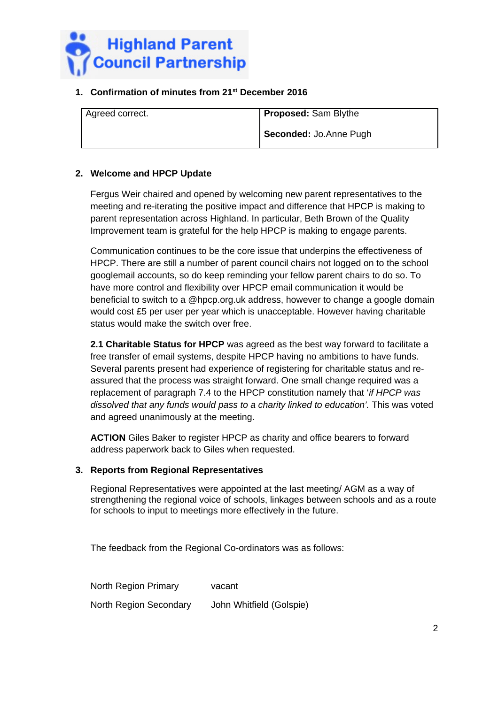

# **1. Confirmation of minutes from 21st December 2016**

| Agreed correct. | <b>Proposed:</b> Sam Blythe |
|-----------------|-----------------------------|
|                 | Seconded: Jo.Anne Pugh      |

# **2. Welcome and HPCP Update**

Fergus Weir chaired and opened by welcoming new parent representatives to the meeting and re-iterating the positive impact and difference that HPCP is making to parent representation across Highland. In particular, Beth Brown of the Quality Improvement team is grateful for the help HPCP is making to engage parents.

Communication continues to be the core issue that underpins the effectiveness of HPCP. There are still a number of parent council chairs not logged on to the school googlemail accounts, so do keep reminding your fellow parent chairs to do so. To have more control and flexibility over HPCP email communication it would be beneficial to switch to a @hpcp.org.uk address, however to change a google domain would cost £5 per user per year which is unacceptable. However having charitable status would make the switch over free.

**2.1 Charitable Status for HPCP** was agreed as the best way forward to facilitate a free transfer of email systems, despite HPCP having no ambitions to have funds. Several parents present had experience of registering for charitable status and reassured that the process was straight forward. One small change required was a replacement of paragraph 7.4 to the HPCP constitution namely that '*if HPCP was*  dissolved that any funds would pass to a charity linked to education'. This was voted and agreed unanimously at the meeting.

**ACTION** Giles Baker to register HPCP as charity and office bearers to forward address paperwork back to Giles when requested.

## **3. Reports from Regional Representatives**

Regional Representatives were appointed at the last meeting/ AGM as a way of strengthening the regional voice of schools, linkages between schools and as a route for schools to input to meetings more effectively in the future.

The feedback from the Regional Co-ordinators was as follows:

| North Region Primary   | vacant                   |
|------------------------|--------------------------|
| North Region Secondary | John Whitfield (Golspie) |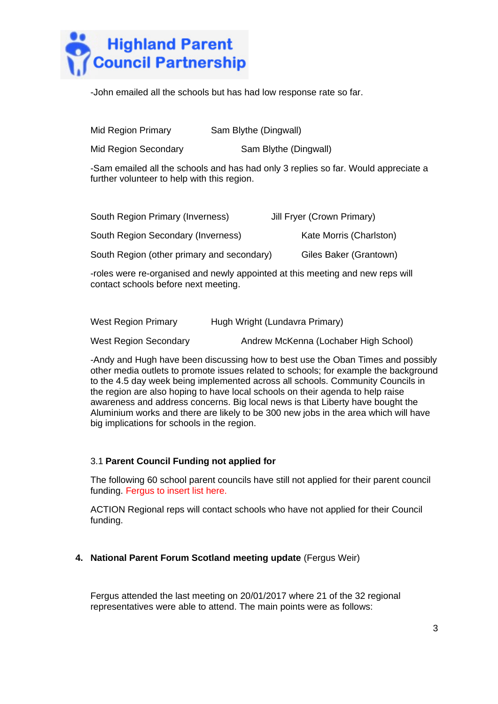

-John emailed all the schools but has had low response rate so far.

| Mid Region Primary   | Sam Blythe (Dingwall) |  |
|----------------------|-----------------------|--|
| Mid Region Secondary | Sam Blythe (Dingwall) |  |

-Sam emailed all the schools and has had only 3 replies so far. Would appreciate a further volunteer to help with this region.

| South Region Primary (Inverness)                                                                       | Jill Fryer (Crown Primary) |
|--------------------------------------------------------------------------------------------------------|----------------------------|
| South Region Secondary (Inverness)                                                                     | Kate Morris (Charlston)    |
| South Region (other primary and secondary)                                                             | Giles Baker (Grantown)     |
| المتحدث ووادعت والمستحدث والمستحيظ والمستحدث والمتحدث والمتحام والمستحدث والمستحدث والمستحدث والمستحدث |                            |

-roles were re-organised and newly appointed at this meeting and new reps will contact schools before next meeting.

| <b>West Region Primary</b>   | Hugh Wright (Lundavra Primary)        |
|------------------------------|---------------------------------------|
| <b>West Region Secondary</b> | Andrew McKenna (Lochaber High School) |

-Andy and Hugh have been discussing how to best use the Oban Times and possibly other media outlets to promote issues related to schools; for example the background to the 4.5 day week being implemented across all schools. Community Councils in the region are also hoping to have local schools on their agenda to help raise awareness and address concerns. Big local news is that Liberty have bought the Aluminium works and there are likely to be 300 new jobs in the area which will have big implications for schools in the region.

## 3.1 **Parent Council Funding not applied for**

The following 60 school parent councils have still not applied for their parent council funding. Fergus to insert list here.

ACTION Regional reps will contact schools who have not applied for their Council funding.

#### **4. National Parent Forum Scotland meeting update** (Fergus Weir)

Fergus attended the last meeting on 20/01/2017 where 21 of the 32 regional representatives were able to attend. The main points were as follows: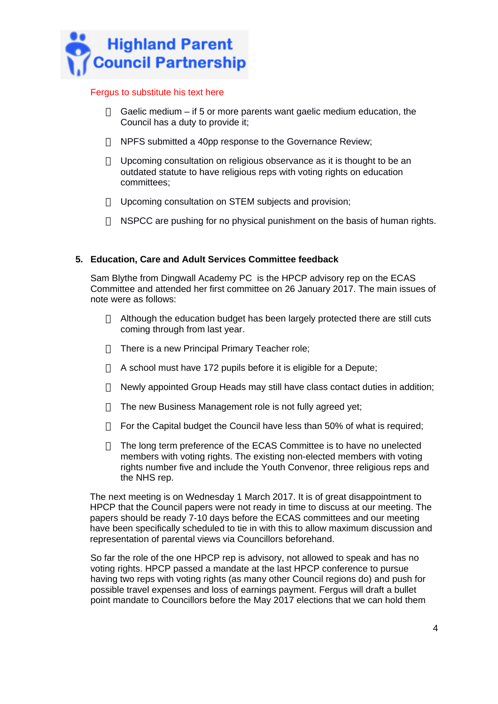

### Fergus to substitute his text here

- $\Box$  Gaelic medium if 5 or more parents want gaelic medium education, the Council has a duty to provide it;
- $\Box$  NPFS submitted a 40pp response to the Governance Review;
- $\Box$  Upcoming consultation on religious observance as it is thought to be an outdated statute to have religious reps with voting rights on education committees;
- Upcoming consultation on STEM subjects and provision;
- $\Box$  NSPCC are pushing for no physical punishment on the basis of human rights.

## **5. Education, Care and Adult Services Committee feedback**

Sam Blythe from Dingwall Academy PC is the HPCP advisory rep on the ECAS Committee and attended her first committee on 26 January 2017. The main issues of note were as follows:

- $\Box$  Although the education budget has been largely protected there are still cuts coming through from last year.
- $\Box$  There is a new Principal Primary Teacher role;
- $\Box$  A school must have 172 pupils before it is eligible for a Depute;
- $\Box$  Newly appointed Group Heads may still have class contact duties in addition;
- $\Box$  The new Business Management role is not fully agreed yet;
- $\Box$  For the Capital budget the Council have less than 50% of what is required;
- $\Box$  The long term preference of the ECAS Committee is to have no unelected members with voting rights. The existing non-elected members with voting rights number five and include the Youth Convenor, three religious reps and the NHS rep.

The next meeting is on Wednesday 1 March 2017. It is of great disappointment to HPCP that the Council papers were not ready in time to discuss at our meeting. The papers should be ready 7-10 days before the ECAS committees and our meeting have been specifically scheduled to tie in with this to allow maximum discussion and representation of parental views via Councillors beforehand.

So far the role of the one HPCP rep is advisory, not allowed to speak and has no voting rights. HPCP passed a mandate at the last HPCP conference to pursue having two reps with voting rights (as many other Council regions do) and push for possible travel expenses and loss of earnings payment. Fergus will draft a bullet point mandate to Councillors before the May 2017 elections that we can hold them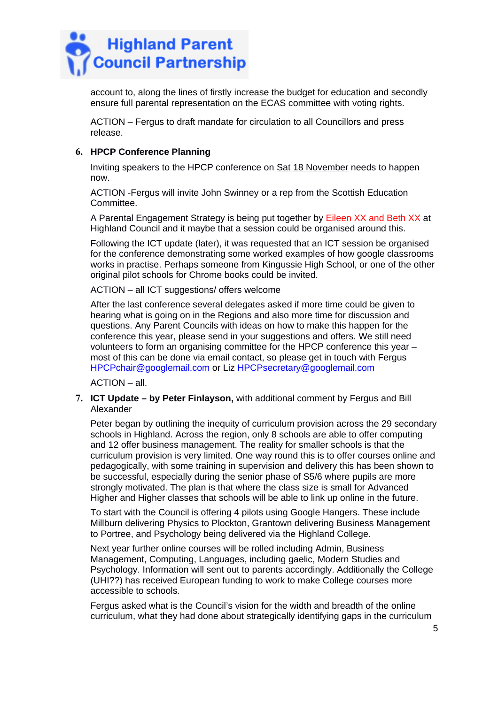

account to, along the lines of firstly increase the budget for education and secondly ensure full parental representation on the ECAS committee with voting rights.

ACTION – Fergus to draft mandate for circulation to all Councillors and press release.

### **6. HPCP Conference Planning**

Inviting speakers to the HPCP conference on Sat 18 November needs to happen now.

ACTION -Fergus will invite John Swinney or a rep from the Scottish Education Committee.

A Parental Engagement Strategy is being put together by Eileen XX and Beth XX at Highland Council and it maybe that a session could be organised around this.

Following the ICT update (later), it was requested that an ICT session be organised for the conference demonstrating some worked examples of how google classrooms works in practise. Perhaps someone from Kingussie High School, or one of the other original pilot schools for Chrome books could be invited.

ACTION – all ICT suggestions/ offers welcome

After the last conference several delegates asked if more time could be given to hearing what is going on in the Regions and also more time for discussion and questions. Any Parent Councils with ideas on how to make this happen for the conference this year, please send in your suggestions and offers. We still need volunteers to form an organising committee for the HPCP conference this year – most of this can be done via email contact, so please get in touch with Fergus [HPCPchair@googlemail.com](mailto:HPCPchair@googlemail.com) or Liz [HPCPsecretary@googlemail.com](mailto:HPCPsecretary@googlemail.com)

ACTION – all.

### **7. ICT Update – by Peter Finlayson,** with additional comment by Fergus and Bill Alexander

Peter began by outlining the inequity of curriculum provision across the 29 secondary schools in Highland. Across the region, only 8 schools are able to offer computing and 12 offer business management. The reality for smaller schools is that the curriculum provision is very limited. One way round this is to offer courses online and pedagogically, with some training in supervision and delivery this has been shown to be successful, especially during the senior phase of S5/6 where pupils are more strongly motivated. The plan is that where the class size is small for Advanced Higher and Higher classes that schools will be able to link up online in the future.

To start with the Council is offering 4 pilots using Google Hangers. These include Millburn delivering Physics to Plockton, Grantown delivering Business Management to Portree, and Psychology being delivered via the Highland College.

Next year further online courses will be rolled including Admin, Business Management, Computing, Languages, including gaelic, Modern Studies and Psychology. Information will sent out to parents accordingly. Additionally the College (UHI??) has received European funding to work to make College courses more accessible to schools.

Fergus asked what is the Council's vision for the width and breadth of the online curriculum, what they had done about strategically identifying gaps in the curriculum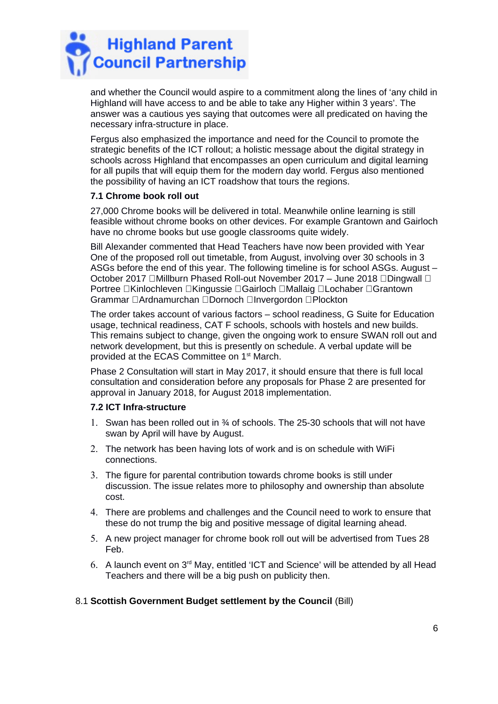

and whether the Council would aspire to a commitment along the lines of 'any child in Highland will have access to and be able to take any Higher within 3 years'. The answer was a cautious yes saying that outcomes were all predicated on having the necessary infra-structure in place.

Fergus also emphasized the importance and need for the Council to promote the strategic benefits of the ICT rollout; a holistic message about the digital strategy in schools across Highland that encompasses an open curriculum and digital learning for all pupils that will equip them for the modern day world. Fergus also mentioned the possibility of having an ICT roadshow that tours the regions.

## **7.1 Chrome book roll out**

27,000 Chrome books will be delivered in total. Meanwhile online learning is still feasible without chrome books on other devices. For example Grantown and Gairloch have no chrome books but use google classrooms quite widely.

Bill Alexander commented that Head Teachers have now been provided with Year One of the proposed roll out timetable, from August, involving over 30 schools in 3 ASGs before the end of this year. The following timeline is for school ASGs. August – October 2017 □Millburn Phased Roll-out November 2017 – June 2018 □Dingwall □ Portree Kinlochleven Kingussie Gairloch Mallaig Lochaber Grantown Grammar **DArdnamurchan DDornoch DInvergordon DPlockton** 

The order takes account of various factors – school readiness, G Suite for Education usage, technical readiness, CAT F schools, schools with hostels and new builds. This remains subject to change, given the ongoing work to ensure SWAN roll out and network development, but this is presently on schedule. A verbal update will be provided at the ECAS Committee on 1st March.

Phase 2 Consultation will start in May 2017, it should ensure that there is full local consultation and consideration before any proposals for Phase 2 are presented for approval in January 2018, for August 2018 implementation.

## **7.2 ICT Infra-structure**

- 1. Swan has been rolled out in ¾ of schools. The 25-30 schools that will not have swan by April will have by August.
- 2. The network has been having lots of work and is on schedule with WiFi connections.
- 3. The figure for parental contribution towards chrome books is still under discussion. The issue relates more to philosophy and ownership than absolute cost.
- 4. There are problems and challenges and the Council need to work to ensure that these do not trump the big and positive message of digital learning ahead.
- 5. A new project manager for chrome book roll out will be advertised from Tues 28 Feb.
- 6. A launch event on  $3<sup>rd</sup>$  May, entitled 'ICT and Science' will be attended by all Head Teachers and there will be a big push on publicity then.

## 8.1 **Scottish Government Budget settlement by the Council** (Bill)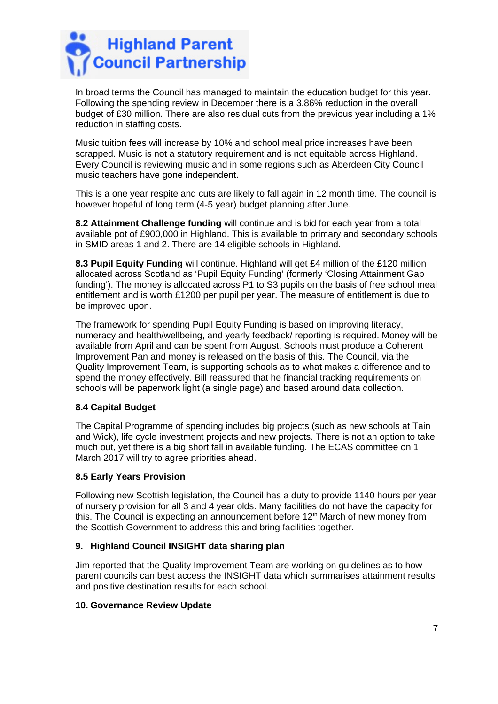

In broad terms the Council has managed to maintain the education budget for this year. Following the spending review in December there is a 3.86% reduction in the overall budget of £30 million. There are also residual cuts from the previous year including a 1% reduction in staffing costs.

Music tuition fees will increase by 10% and school meal price increases have been scrapped. Music is not a statutory requirement and is not equitable across Highland. Every Council is reviewing music and in some regions such as Aberdeen City Council music teachers have gone independent.

This is a one year respite and cuts are likely to fall again in 12 month time. The council is however hopeful of long term (4-5 year) budget planning after June.

**8.2 Attainment Challenge funding** will continue and is bid for each year from a total available pot of £900,000 in Highland. This is available to primary and secondary schools in SMID areas 1 and 2. There are 14 eligible schools in Highland.

**8.3 Pupil Equity Funding** will continue. Highland will get £4 million of the £120 million allocated across Scotland as 'Pupil Equity Funding' (formerly 'Closing Attainment Gap funding'). The money is allocated across P1 to S3 pupils on the basis of free school meal entitlement and is worth £1200 per pupil per year. The measure of entitlement is due to be improved upon.

The framework for spending Pupil Equity Funding is based on improving literacy, numeracy and health/wellbeing, and yearly feedback/ reporting is required. Money will be available from April and can be spent from August. Schools must produce a Coherent Improvement Pan and money is released on the basis of this. The Council, via the Quality Improvement Team, is supporting schools as to what makes a difference and to spend the money effectively. Bill reassured that he financial tracking requirements on schools will be paperwork light (a single page) and based around data collection.

## **8.4 Capital Budget**

The Capital Programme of spending includes big projects (such as new schools at Tain and Wick), life cycle investment projects and new projects. There is not an option to take much out, yet there is a big short fall in available funding. The ECAS committee on 1 March 2017 will try to agree priorities ahead.

#### **8.5 Early Years Provision**

Following new Scottish legislation, the Council has a duty to provide 1140 hours per year of nursery provision for all 3 and 4 year olds. Many facilities do not have the capacity for this. The Council is expecting an announcement before  $12<sup>th</sup>$  March of new money from the Scottish Government to address this and bring facilities together.

## **9. Highland Council INSIGHT data sharing plan**

Jim reported that the Quality Improvement Team are working on guidelines as to how parent councils can best access the INSIGHT data which summarises attainment results and positive destination results for each school.

#### **10. Governance Review Update**